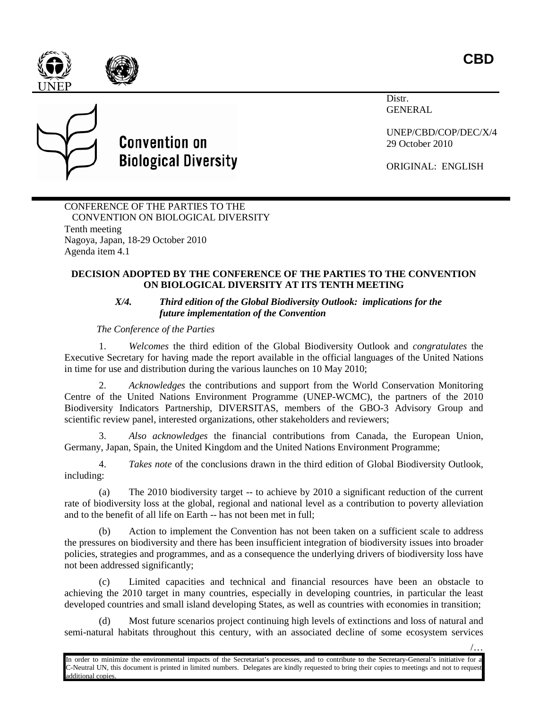/…





Distr. GENERAL

> UNEP/CBD/COP/DEC/X/4 29 October 2010

ORIGINAL: ENGLISH

CONFERENCE OF THE PARTIES TO THE CONVENTION ON BIOLOGICAL DIVERSITY Tenth meeting Nagoya, Japan, 18-29 October 2010 Agenda item 4.1

**Convention on** 

**Biological Diversity** 

## **DECISION ADOPTED BY THE CONFERENCE OF THE PARTIES TO THE CONVENTION ON BIOLOGICAL DIVERSITY AT ITS TENTH MEETING**

## *X/4. Third edition of the Global Biodiversity Outlook: implications for the future implementation of the Convention*

*The Conference of the Parties*

1. *Welcomes* the third edition of the Global Biodiversity Outlook and *congratulates* the Executive Secretary for having made the report available in the official languages of the United Nations in time for use and distribution during the various launches on 10 May 2010;

2. *Acknowledges* the contributions and support from the World Conservation Monitoring Centre of the United Nations Environment Programme (UNEP-WCMC), the partners of the 2010 Biodiversity Indicators Partnership, DIVERSITAS, members of the GBO-3 Advisory Group and scientific review panel, interested organizations, other stakeholders and reviewers;

3. *Also acknowledges* the financial contributions from Canada, the European Union, Germany, Japan, Spain, the United Kingdom and the United Nations Environment Programme;

4. *Takes note* of the conclusions drawn in the third edition of Global Biodiversity Outlook, including:

(a) The 2010 biodiversity target -- to achieve by 2010 a significant reduction of the current rate of biodiversity loss at the global, regional and national level as a contribution to poverty alleviation and to the benefit of all life on Earth -- has not been met in full;

(b) Action to implement the Convention has not been taken on a sufficient scale to address the pressures on biodiversity and there has been insufficient integration of biodiversity issues into broader policies, strategies and programmes, and as a consequence the underlying drivers of biodiversity loss have not been addressed significantly;

(c) Limited capacities and technical and financial resources have been an obstacle to achieving the 2010 target in many countries, especially in developing countries, in particular the least developed countries and small island developing States, as well as countries with economies in transition;

(d) Most future scenarios project continuing high levels of extinctions and loss of natural and semi-natural habitats throughout this century, with an associated decline of some ecosystem services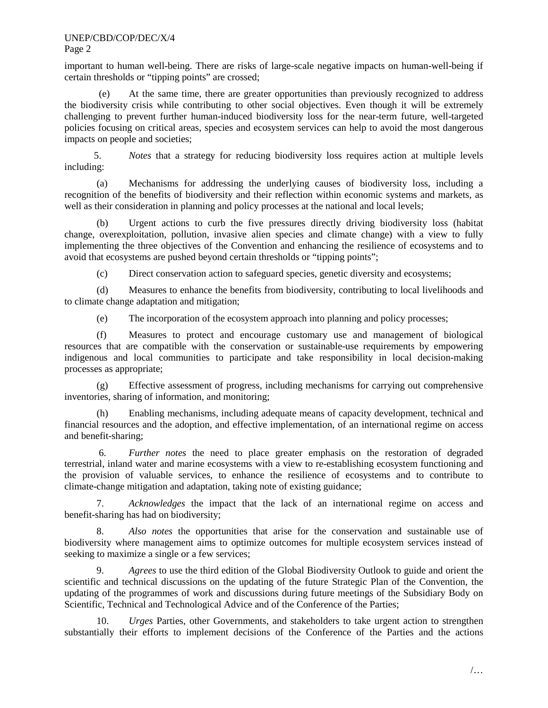## UNEP/CBD/COP/DEC/X/4 Page 2

important to human well-being. There are risks of large-scale negative impacts on human-well-being if certain thresholds or "tipping points" are crossed;

(e) At the same time, there are greater opportunities than previously recognized to address the biodiversity crisis while contributing to other social objectives. Even though it will be extremely challenging to prevent further human-induced biodiversity loss for the near-term future, well-targeted policies focusing on critical areas, species and ecosystem services can help to avoid the most dangerous impacts on people and societies;

5. *Notes* that a strategy for reducing biodiversity loss requires action at multiple levels including:

(a) Mechanisms for addressing the underlying causes of biodiversity loss, including a recognition of the benefits of biodiversity and their reflection within economic systems and markets, as well as their consideration in planning and policy processes at the national and local levels;

(b) Urgent actions to curb the five pressures directly driving biodiversity loss (habitat change, overexploitation, pollution, invasive alien species and climate change) with a view to fully implementing the three objectives of the Convention and enhancing the resilience of ecosystems and to avoid that ecosystems are pushed beyond certain thresholds or "tipping points";

(c) Direct conservation action to safeguard species, genetic diversity and ecosystems;

(d) Measures to enhance the benefits from biodiversity, contributing to local livelihoods and to climate change adaptation and mitigation;

(e) The incorporation of the ecosystem approach into planning and policy processes;

(f) Measures to protect and encourage customary use and management of biological resources that are compatible with the conservation or sustainable-use requirements by empowering indigenous and local communities to participate and take responsibility in local decision-making processes as appropriate;

(g) Effective assessment of progress, including mechanisms for carrying out comprehensive inventories, sharing of information, and monitoring;

(h) Enabling mechanisms, including adequate means of capacity development, technical and financial resources and the adoption, and effective implementation, of an international regime on access and benefit-sharing;

6. *Further notes* the need to place greater emphasis on the restoration of degraded terrestrial, inland water and marine ecosystems with a view to re-establishing ecosystem functioning and the provision of valuable services, to enhance the resilience of ecosystems and to contribute to climate-change mitigation and adaptation, taking note of existing guidance;

7. *Acknowledges* the impact that the lack of an international regime on access and benefit-sharing has had on biodiversity;

8. *Also notes* the opportunities that arise for the conservation and sustainable use of biodiversity where management aims to optimize outcomes for multiple ecosystem services instead of seeking to maximize a single or a few services;

9. *Agrees* to use the third edition of the Global Biodiversity Outlook to guide and orient the scientific and technical discussions on the updating of the future Strategic Plan of the Convention, the updating of the programmes of work and discussions during future meetings of the Subsidiary Body on Scientific, Technical and Technological Advice and of the Conference of the Parties;

10. *Urges* Parties, other Governments, and stakeholders to take urgent action to strengthen substantially their efforts to implement decisions of the Conference of the Parties and the actions